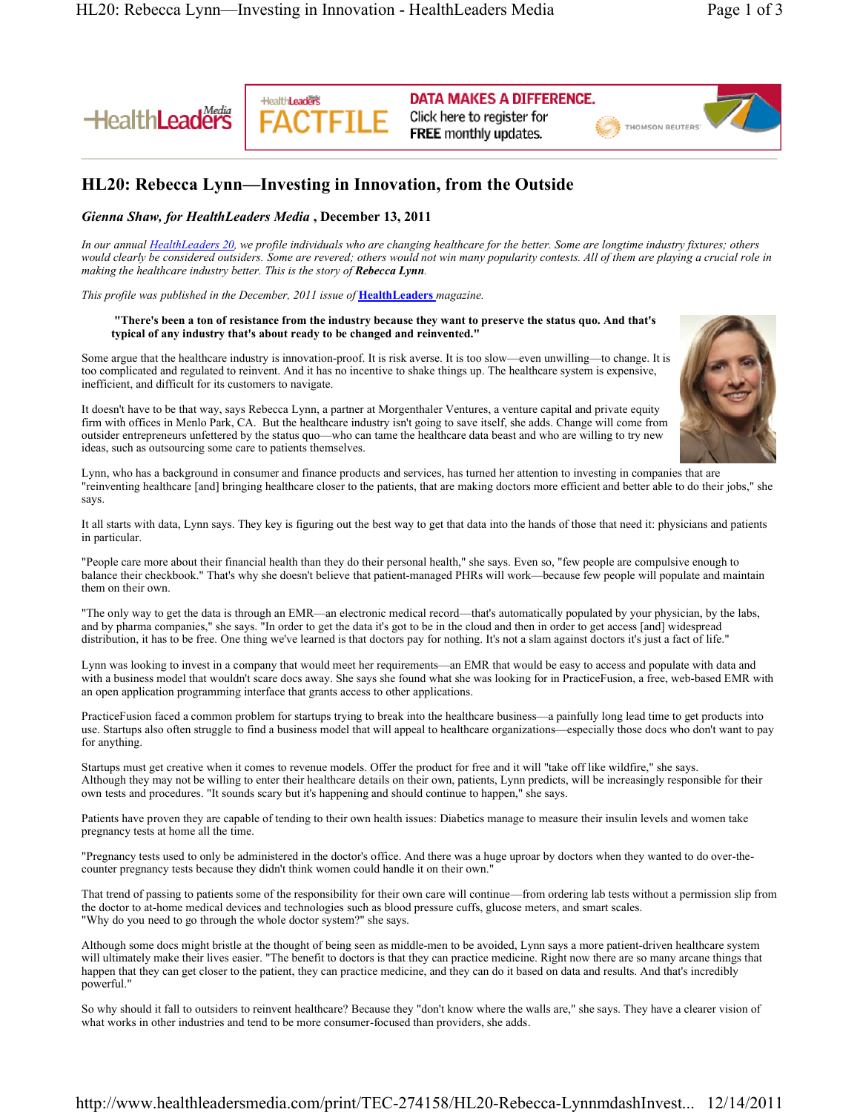**HealthLeaders** 



**DATA MAKES A DIFFERENCE.** Click here to register for **FREE** monthly updates.

THOMSON REUTERS

## **HL20: Rebecca Lynn—Investing in Innovation, from the Outside**

### *Gienna Shaw, for HealthLeaders Media* **, December 13, 2011**

*In our annual HealthLeaders 20, we profile individuals who are changing healthcare for the better. Some are longtime industry fixtures; others would clearly be considered outsiders. Some are revered; others would not win many popularity contests. All of them are playing a crucial role in making the healthcare industry better. This is the story of Rebecca Lynn.*

*This profile was published in the December, 2011 issue of* **HealthLeaders** *magazine.*

#### **"There's been a ton of resistance from the industry because they want to preserve the status quo. And that's typical of any industry that's about ready to be changed and reinvented."**

Some argue that the healthcare industry is innovation-proof. It is risk averse. It is too slow—even unwilling—to change. It is too complicated and regulated to reinvent. And it has no incentive to shake things up. The healthcare system is expensive, inefficient, and difficult for its customers to navigate.

It doesn't have to be that way, says Rebecca Lynn, a partner at Morgenthaler Ventures, a venture capital and private equity firm with offices in Menlo Park, CA. But the healthcare industry isn't going to save itself, she adds. Change will come from outsider entrepreneurs unfettered by the status quo-who can tame the healthcare data beast and who are willing to try new ideas, such as outsourcing some care to patients themselves.

Lynn, who has a background in consumer and finance products and services, has turned her attention to investing in companies that are "reinventing healthcare [and] bringing healthcare closer to the patients, that are making doctors more efficient and better able to do their jobs," she says.

It all starts with data, Lynn says. They key is figuring out the best way to get that data into the hands of those that need it: physicians and patients in particular.

"People care more about their financial health than they do their personal health," she says. Even so, "few people are compulsive enough to balance their checkbook." That's why she doesn't believe that patient-managed PHRs will work—because few people will populate and maintain them on their own.

"The only way to get the data is through an EMR—an electronic medical record—that's automatically populated by your physician, by the labs, and by pharma companies," she says. "In order to get the data it's got to be in the cloud and then in order to get access [and] widespread distribution, it has to be free. One thing we've learned is that doctors pay for nothing. It's not a slam against doctors it's just a fact of life."

Lynn was looking to invest in a company that would meet her requirements—an EMR that would be easy to access and populate with data and with a business model that wouldn't scare docs away. She says she found what she was looking for in PracticeFusion, a free, web-based EMR with an open application programming interface that grants access to other applications.

PracticeFusion faced a common problem for startups trying to break into the healthcare business—a painfully long lead time to get products into use. Startups also often struggle to find a business model that will appeal to healthcare organizations—especially those docs who don't want to pay for anything.

Startups must get creative when it comes to revenue models. Offer the product for free and it will "take off like wildfire," she says. Although they may not be willing to enter their healthcare details on their own, patients, Lynn predicts, will be increasingly responsible for their own tests and procedures. "It sounds scary but it's happening and should continue to happen," she says.

Patients have proven they are capable of tending to their own health issues: Diabetics manage to measure their insulin levels and women take pregnancy tests at home all the time.

"Pregnancy tests used to only be administered in the doctor's office. And there was a huge uproar by doctors when they wanted to do over-thecounter pregnancy tests because they didn't think women could handle it on their own."

That trend of passing to patients some of the responsibility for their own care will continue—from ordering lab tests without a permission slip from the doctor to at-home medical devices and technologies such as blood pressure cuffs, glucose meters, and smart scales. "Why do you need to go through the whole doctor system?" she says.

Although some docs might bristle at the thought of being seen as middle-men to be avoided, Lynn says a more patient-driven healthcare system will ultimately make their lives easier. "The benefit to doctors is that they can practice medicine. Right now there are so many arcane things that happen that they can get closer to the patient, they can practice medicine, and they can do it based on data and results. And that's incredibly powerful."

So why should it fall to outsiders to reinvent healthcare? Because they "don't know where the walls are," she says. They have a clearer vision of what works in other industries and tend to be more consumer-focused than providers, she adds.

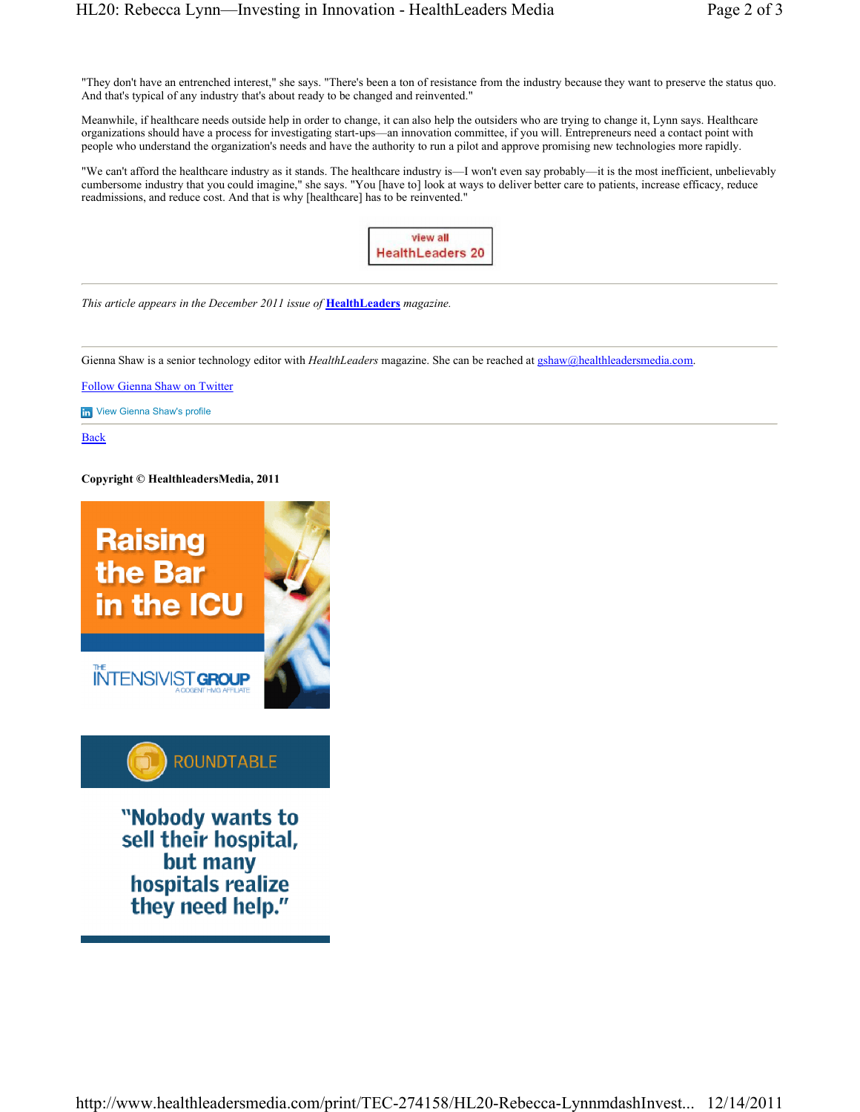"They don't have an entrenched interest," she says. "There's been a ton of resistance from the industry because they want to preserve the status quo. And that's typical of any industry that's about ready to be changed and reinvented."

Meanwhile, if healthcare needs outside help in order to change, it can also help the outsiders who are trying to change it, Lynn says. Healthcare organizations should have a process for investigating start-ups-an innovation committee, if you will. Entrepreneurs need a contact point with people who understand the organization's needs and have the authority to run a pilot and approve promising new technologies more rapidly.

"We can't afford the healthcare industry as it stands. The healthcare industry is—I won't even say probably—it is the most inefficient, unbelievably cumbersome industry that you could imagine," she says. "You [have to] look at ways to deliver better care to patients, increase efficacy, reduce readmissions, and reduce cost. And that is why [healthcare] has to be reinvented."



*This article appears in the December 2011 issue of* **HealthLeaders** *magazine.*

Gienna Shaw is a senior technology editor with *HealthLeaders* magazine. She can be reached at gshaw@healthleadersmedia.com.

Follow Gienna Shaw on Twitter

**in** View Gienna Shaw's profile

Back

#### **Copyright © HealthleadersMedia, 2011**